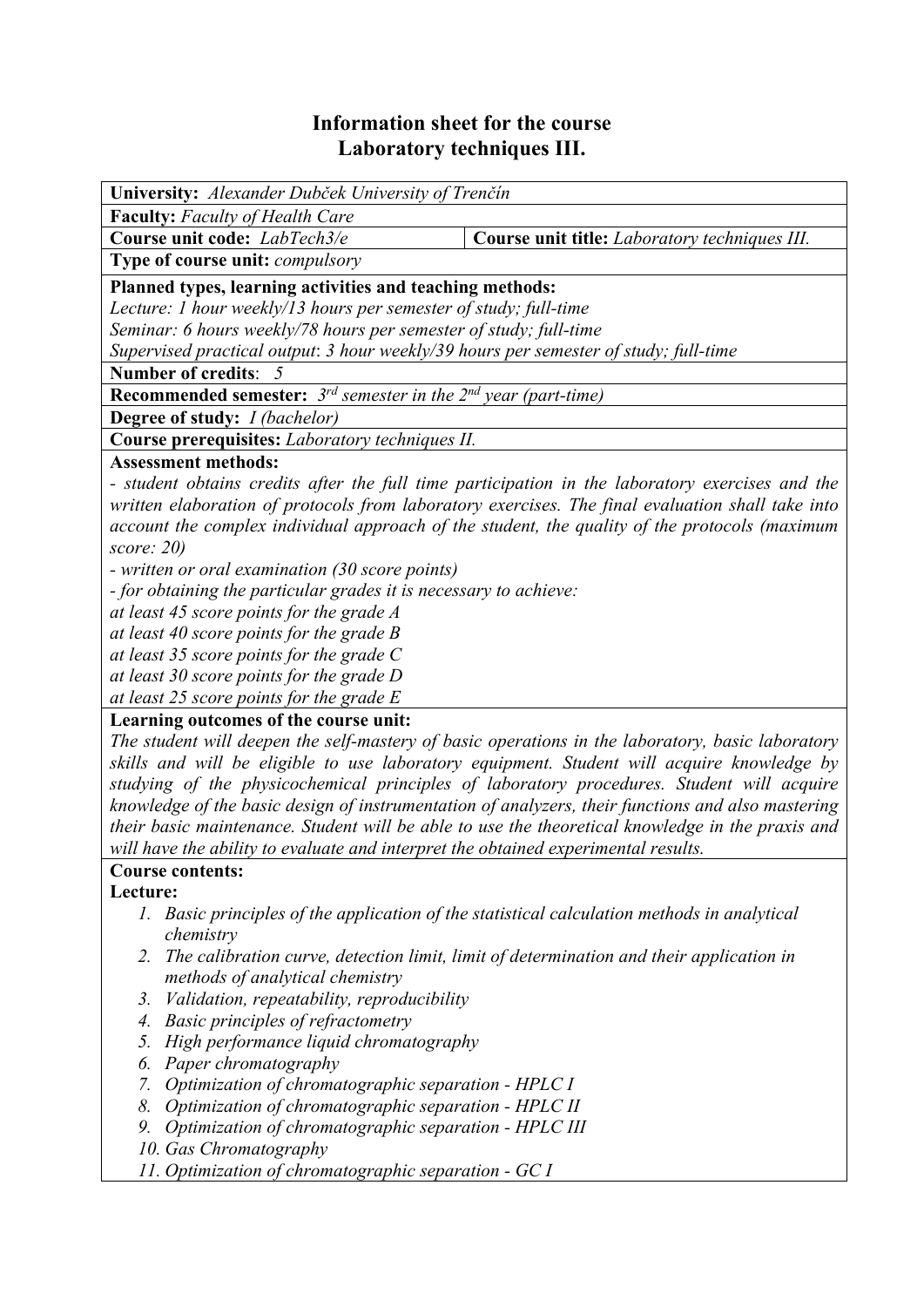# **Information sheet for the course Laboratory techniques III.**

| <b>University:</b> Alexander Dubček University of Trenčín                                        |                                               |  |  |  |
|--------------------------------------------------------------------------------------------------|-----------------------------------------------|--|--|--|
| <b>Faculty:</b> Faculty of Health Care                                                           |                                               |  |  |  |
| Course unit code: LabTech3/e                                                                     | Course unit title: Laboratory techniques III. |  |  |  |
| <b>Type of course unit: <i>compulsory</i></b>                                                    |                                               |  |  |  |
| Planned types, learning activities and teaching methods:                                         |                                               |  |  |  |
| Lecture: 1 hour weekly/13 hours per semester of study; full-time                                 |                                               |  |  |  |
| Seminar: 6 hours weekly/78 hours per semester of study; full-time                                |                                               |  |  |  |
| Supervised practical output: 3 hour weekly/39 hours per semester of study; full-time             |                                               |  |  |  |
| Number of credits: 5                                                                             |                                               |  |  |  |
| <b>Recommended semester:</b> $3^{rd}$ semester in the $2^{nd}$ year (part-time)                  |                                               |  |  |  |
| <b>Degree of study:</b> <i>I (bachelor)</i>                                                      |                                               |  |  |  |
| Course prerequisites: Laboratory techniques II.                                                  |                                               |  |  |  |
| <b>Assessment methods:</b>                                                                       |                                               |  |  |  |
| - student obtains credits after the full time participation in the laboratory exercises and the  |                                               |  |  |  |
| written elaboration of protocols from laboratory exercises. The final evaluation shall take into |                                               |  |  |  |
| account the complex individual approach of the student, the quality of the protocols (maximum    |                                               |  |  |  |

*score: 20)* 

*- written or oral examination (30 score points)* 

*- for obtaining the particular grades it is necessary to achieve:* 

*at least 45 score points for the grade A* 

*at least 40 score points for the grade B* 

*at least 35 score points for the grade C* 

*at least 30 score points for the grade D* 

*at least 25 score points for the grade E*

## **Learning outcomes of the course unit:**

*The student will deepen the self-mastery of basic operations in the laboratory, basic laboratory skills and will be eligible to use laboratory equipment. Student will acquire knowledge by studying of the physicochemical principles of laboratory procedures. Student will acquire knowledge of the basic design of instrumentation of analyzers, their functions and also mastering their basic maintenance. Student will be able to use the theoretical knowledge in the praxis and will have the ability to evaluate and interpret the obtained experimental results.* 

## **Course contents:**

#### **Lecture:**

- *1. Basic principles of the application of the statistical calculation methods in analytical chemistry*
- *2. The calibration curve, detection limit, limit of determination and their application in methods of analytical chemistry*
- *3. Validation, repeatability, reproducibility*
- *4. Basic principles of refractometry*
- *5. High performance liquid chromatography*
- *6. Paper chromatography*
- *7. Optimization of chromatographic separation HPLC I*
- *8. Optimization of chromatographic separation HPLC II*
- *9. Optimization of chromatographic separation HPLC III*
- *10. Gas Chromatography*
- *11. Optimization of chromatographic separation GC I*